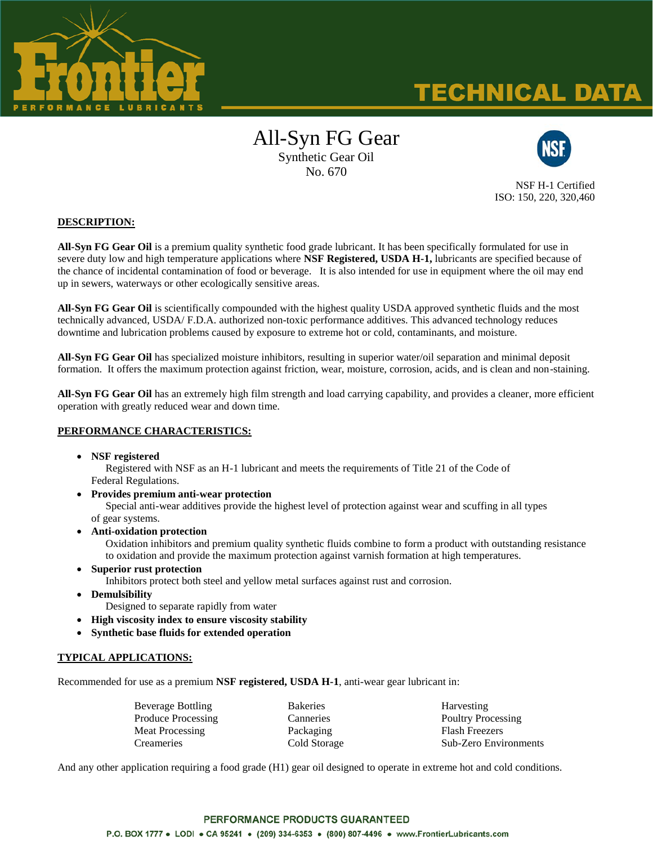

# TECHNICAL DATA

# All-Syn FG Gear Synthetic Gear Oil

No. 670



NSF H-1 Certified ISO: 150, 220, 320,460

## **DESCRIPTION:**

**All-Syn FG Gear Oil** is a premium quality synthetic food grade lubricant. It has been specifically formulated for use in severe duty low and high temperature applications where **NSF Registered, USDA H-1,** lubricants are specified because of the chance of incidental contamination of food or beverage. It is also intended for use in equipment where the oil may end up in sewers, waterways or other ecologically sensitive areas.

**All-Syn FG Gear Oil** is scientifically compounded with the highest quality USDA approved synthetic fluids and the most technically advanced, USDA/ F.D.A. authorized non-toxic performance additives. This advanced technology reduces downtime and lubrication problems caused by exposure to extreme hot or cold, contaminants, and moisture.

**All-Syn FG Gear Oil** has specialized moisture inhibitors, resulting in superior water/oil separation and minimal deposit formation. It offers the maximum protection against friction, wear, moisture, corrosion, acids, and is clean and non-staining.

**All-Syn FG Gear Oil** has an extremely high film strength and load carrying capability, and provides a cleaner, more efficient operation with greatly reduced wear and down time.

#### **PERFORMANCE CHARACTERISTICS:**

**NSF registered** 

Registered with NSF as an H-1 lubricant and meets the requirements of Title 21 of the Code of Federal Regulations.

- **Provides premium anti-wear protection** Special anti-wear additives provide the highest level of protection against wear and scuffing in all types of gear systems.
- **Anti-oxidation protection** Oxidation inhibitors and premium quality synthetic fluids combine to form a product with outstanding resistance to oxidation and provide the maximum protection against varnish formation at high temperatures.
- **Superior rust protection** Inhibitors protect both steel and yellow metal surfaces against rust and corrosion.
- **Demulsibility**
	- Designed to separate rapidly from water
- **High viscosity index to ensure viscosity stability**
- **Synthetic base fluids for extended operation**

# **TYPICAL APPLICATIONS:**

Recommended for use as a premium **NSF registered, USDA H-1**, anti-wear gear lubricant in:

| Beverage Bottling  | <b>Bakeries</b> | Harvesting                   |  |  |
|--------------------|-----------------|------------------------------|--|--|
| Produce Processing | Canneries       | Poultry Processing           |  |  |
| Meat Processing    | Packaging       | <b>Flash Freezers</b>        |  |  |
| <b>Creameries</b>  | Cold Storage    | <b>Sub-Zero Environments</b> |  |  |

And any other application requiring a food grade (H1) gear oil designed to operate in extreme hot and cold conditions.